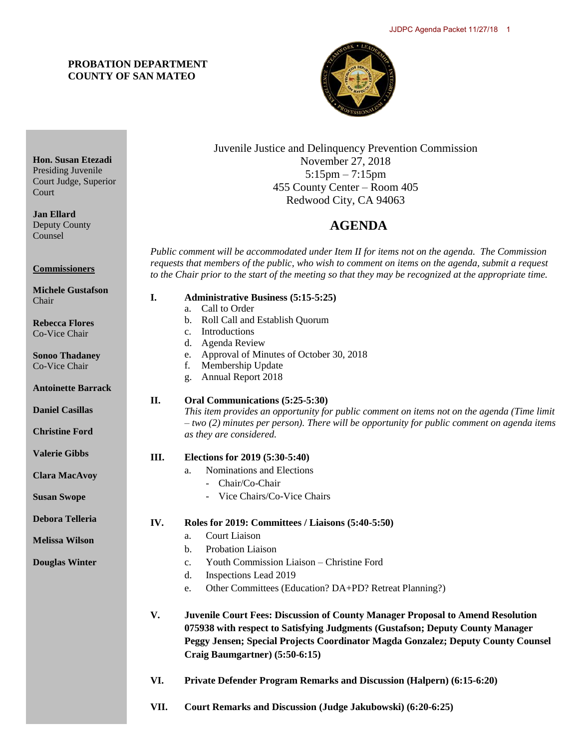#### **PROBATION DEPARTMENT COUNTY OF SAN MATEO**



Juvenile Justice and Delinquency Prevention Commission November 27, 2018 5:15pm – 7:15pm 455 County Center – Room 405 Redwood City, CA 94063

# 4B**AGENDA**

*Public comment will be accommodated under Item II for items not on the agenda. The Commission requests that members of the public, who wish to comment on items on the agenda, submit a request to the Chair prior to the start of the meeting so that they may be recognized at the appropriate time.* 

- **I. Administrative Business (5:15-5:25)** a. Call to Order b. Roll Call and Establish Quorum c. Introductions d. Agenda Review e. Approval of Minutes of October 30, 2018 f. Membership Update g. Annual Report 2018 **II. Oral Communications (5:25-5:30)** *This item provides an opportunity for public comment on items not on the agenda (Time limit – two (2) minutes per person). There will be opportunity for public comment on agenda items as they are considered.* **III. Elections for 2019 (5:30-5:40)** a. Nominations and Elections - Chair/Co-Chair - Vice Chairs/Co-Vice Chairs **IV. Roles for 2019: Committees / Liaisons (5:40-5:50)** a. Court Liaison b. Probation Liaison c. Youth Commission Liaison – Christine Ford d. Inspections Lead 2019 e. Other Committees (Education? DA+PD? Retreat Planning?) **V. Juvenile Court Fees: Discussion of County Manager Proposal to Amend Resolution 075938 with respect to Satisfying Judgments (Gustafson; Deputy County Manager Peggy Jensen; Special Projects Coordinator Magda Gonzalez; Deputy County Counsel Craig Baumgartner) (5:50-6:15)**
- **VI. Private Defender Program Remarks and Discussion (Halpern) (6:15-6:20)**
- **VII. Court Remarks and Discussion (Judge Jakubowski) (6:20-6:25)**

**Hon. Susan Etezadi** Presiding Juvenile Court Judge, Superior **Court** 

**Jan Ellard** Deputy County Counsel

**Commissioners**

**Michele Gustafson** Chair

**Rebecca Flores** Co-Vice Chair

**Sonoo Thadaney** Co-Vice Chair

**Antoinette Barrack**

**Daniel Casillas**

**Christine Ford**

**Valerie Gibbs**

**Clara MacAvoy**

**Susan Swope**

**Debora Telleria**

**Melissa Wilson**

**Douglas Winter**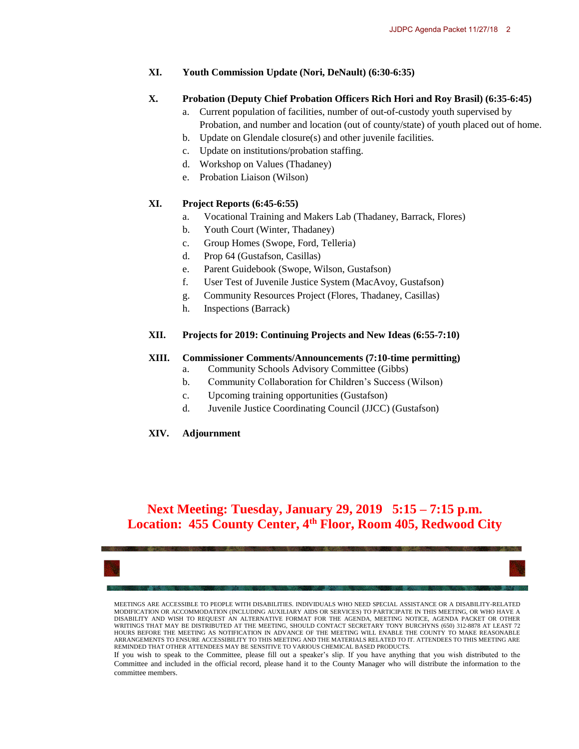#### **XI. Youth Commission Update (Nori, DeNault) (6:30-6:35)**

#### **X. Probation (Deputy Chief Probation Officers Rich Hori and Roy Brasil) (6:35-6:45)**

- a. Current population of facilities, number of out-of-custody youth supervised by Probation, and number and location (out of county/state) of youth placed out of home.
- b. Update on Glendale closure(s) and other juvenile facilities.
- c. Update on institutions/probation staffing.
- d. Workshop on Values (Thadaney)
- e. Probation Liaison (Wilson)

#### **XI. Project Reports (6:45-6:55)**

- a. Vocational Training and Makers Lab (Thadaney, Barrack, Flores)
- b. Youth Court (Winter, Thadaney)
- c. Group Homes (Swope, Ford, Telleria)
- d. Prop 64 (Gustafson, Casillas)
- e. Parent Guidebook (Swope, Wilson, Gustafson)
- f. User Test of Juvenile Justice System (MacAvoy, Gustafson)
- g. Community Resources Project (Flores, Thadaney, Casillas)
- h. Inspections (Barrack)

#### **XII. Projects for 2019: Continuing Projects and New Ideas (6:55-7:10)**

#### **XIII. Commissioner Comments/Announcements (7:10-time permitting)**

- a. Community Schools Advisory Committee (Gibbs)
- b. Community Collaboration for Children's Success (Wilson)
- c. Upcoming training opportunities (Gustafson)
- d. Juvenile Justice Coordinating Council (JJCC) (Gustafson)

#### **XIV. Adjournment**

# **Next Meeting: Tuesday, January 29, 2019 5:15 – 7:15 p.m. Location: 455 County Center, 4th Floor, Room 405, Redwood City**



MEETINGS ARE ACCESSIBLE TO PEOPLE WITH DISABILITIES. INDIVIDUALS WHO NEED SPECIAL ASSISTANCE OR A DISABILITY-RELATED MODIFICATION OR ACCOMMODATION (INCLUDING AUXILIARY AIDS OR SERVICES) TO PARTICIPATE IN THIS MEETING, OR WHO HAVE A DISABILITY AND WISH TO REQUEST AN ALTERNATIVE FORMAT FOR THE AGENDA, MEETING NOTICE, AGENDA PACKET OR OTHER WRITINGS THAT MAY BE DISTRIBUTED AT THE MEETING, SHOULD CONTACT SECRETARY TONY BURCHYNS (650) 312-8878 AT LEAST 72 HOURS BEFORE THE MEETING AS NOTIFICATION IN ADVANCE OF THE MEETING WILL ENABLE THE COUNTY TO MAKE REASONABLE ARRANGEMENTS TO ENSURE ACCESSIBILITY TO THIS MEETING AND THE MATERIALS RELATED TO IT. ATTENDEES TO THIS MEETING ARE REMINDED THAT OTHER ATTENDEES MAY BE SENSITIVE TO VARIOUS CHEMICAL BASED PRODUCTS.

If you wish to speak to the Committee, please fill out a speaker's slip. If you have anything that you wish distributed to the Committee and included in the official record, please hand it to the County Manager who will distribute the information to the committee members.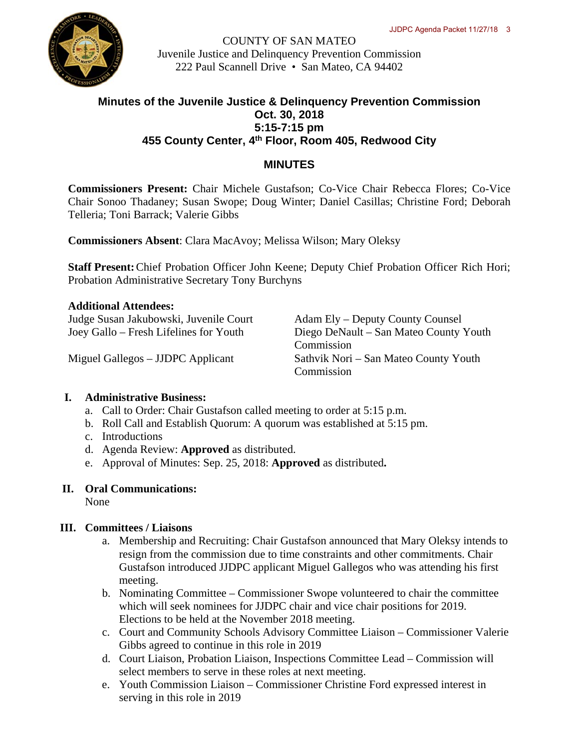

COUNTY OF SAN MATEO Juvenile Justice and Delinquency Prevention Commission 222 Paul Scannell Drive • San Mateo, CA 94402

# **Minutes of the Juvenile Justice & Delinquency Prevention Commission Oct. 30, 2018 5:15-7:15 pm 455 County Center, 4th Floor, Room 405, Redwood City**

## **MINUTES**

**Commissioners Present:** Chair Michele Gustafson; Co-Vice Chair Rebecca Flores; Co-Vice Chair Sonoo Thadaney; Susan Swope; Doug Winter; Daniel Casillas; Christine Ford; Deborah Telleria; Toni Barrack; Valerie Gibbs

**Commissioners Absent**: Clara MacAvoy; Melissa Wilson; Mary Oleksy

**Staff Present:** Chief Probation Officer John Keene; Deputy Chief Probation Officer Rich Hori; Probation Administrative Secretary Tony Burchyns

#### **Additional Attendees:**

| Judge Susan Jakubowski, Juvenile Court | Adam Ely – Deputy County Counsel       |
|----------------------------------------|----------------------------------------|
| Joey Gallo – Fresh Lifelines for Youth | Diego DeNault – San Mateo County Youth |
|                                        | Commission                             |
| Miguel Gallegos – JJDPC Applicant      | Sathvik Nori – San Mateo County Youth  |
|                                        | Commission                             |

### **I. Administrative Business:**

- a. Call to Order: Chair Gustafson called meeting to order at 5:15 p.m.
- b. Roll Call and Establish Quorum: A quorum was established at 5:15 pm.
- c. Introductions
- d. Agenda Review: **Approved** as distributed.
- e. Approval of Minutes: Sep. 25, 2018: **Approved** as distributed**.**

# **II. Oral Communications:**

None

# **III. Committees / Liaisons**

- a. Membership and Recruiting: Chair Gustafson announced that Mary Oleksy intends to resign from the commission due to time constraints and other commitments. Chair Gustafson introduced JJDPC applicant Miguel Gallegos who was attending his first meeting.
- b. Nominating Committee Commissioner Swope volunteered to chair the committee which will seek nominees for JJDPC chair and vice chair positions for 2019. Elections to be held at the November 2018 meeting.
- c. Court and Community Schools Advisory Committee Liaison Commissioner Valerie Gibbs agreed to continue in this role in 2019
- d. Court Liaison, Probation Liaison, Inspections Committee Lead Commission will select members to serve in these roles at next meeting.
- e. Youth Commission Liaison Commissioner Christine Ford expressed interest in serving in this role in 2019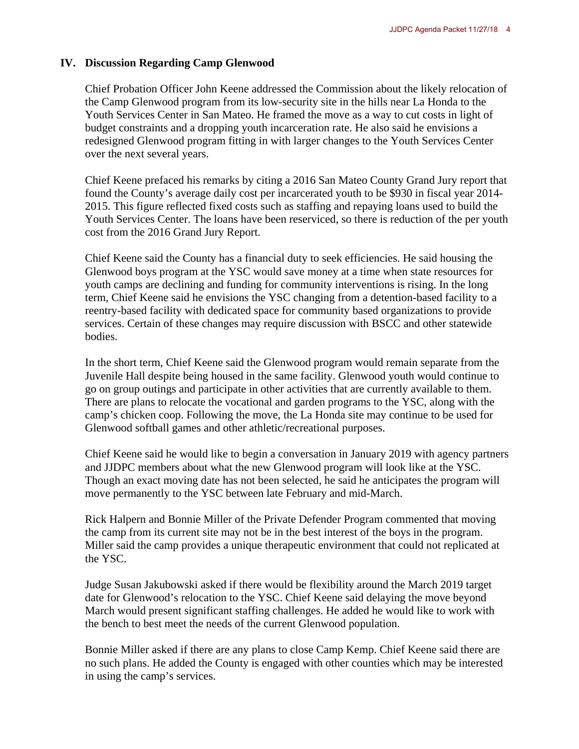#### **IV. Discussion Regarding Camp Glenwood**

Chief Probation Officer John Keene addressed the Commission about the likely relocation of the Camp Glenwood program from its low-security site in the hills near La Honda to the Youth Services Center in San Mateo. He framed the move as a way to cut costs in light of budget constraints and a dropping youth incarceration rate. He also said he envisions a redesigned Glenwood program fitting in with larger changes to the Youth Services Center over the next several years.

Chief Keene prefaced his remarks by citing a 2016 San Mateo County Grand Jury report that found the County's average daily cost per incarcerated youth to be \$930 in fiscal year 2014- 2015. This figure reflected fixed costs such as staffing and repaying loans used to build the Youth Services Center. The loans have been reserviced, so there is reduction of the per youth cost from the 2016 Grand Jury Report.

Chief Keene said the County has a financial duty to seek efficiencies. He said housing the Glenwood boys program at the YSC would save money at a time when state resources for youth camps are declining and funding for community interventions is rising. In the long term, Chief Keene said he envisions the YSC changing from a detention-based facility to a reentry-based facility with dedicated space for community based organizations to provide services. Certain of these changes may require discussion with BSCC and other statewide bodies.

In the short term, Chief Keene said the Glenwood program would remain separate from the Juvenile Hall despite being housed in the same facility. Glenwood youth would continue to go on group outings and participate in other activities that are currently available to them. There are plans to relocate the vocational and garden programs to the YSC, along with the camp's chicken coop. Following the move, the La Honda site may continue to be used for Glenwood softball games and other athletic/recreational purposes.

Chief Keene said he would like to begin a conversation in January 2019 with agency partners and JJDPC members about what the new Glenwood program will look like at the YSC. Though an exact moving date has not been selected, he said he anticipates the program will move permanently to the YSC between late February and mid-March.

Rick Halpern and Bonnie Miller of the Private Defender Program commented that moving the camp from its current site may not be in the best interest of the boys in the program. Miller said the camp provides a unique therapeutic environment that could not replicated at the YSC.

Judge Susan Jakubowski asked if there would be flexibility around the March 2019 target date for Glenwood's relocation to the YSC. Chief Keene said delaying the move beyond March would present significant staffing challenges. He added he would like to work with the bench to best meet the needs of the current Glenwood population.

Bonnie Miller asked if there are any plans to close Camp Kemp. Chief Keene said there are no such plans. He added the County is engaged with other counties which may be interested in using the camp's services.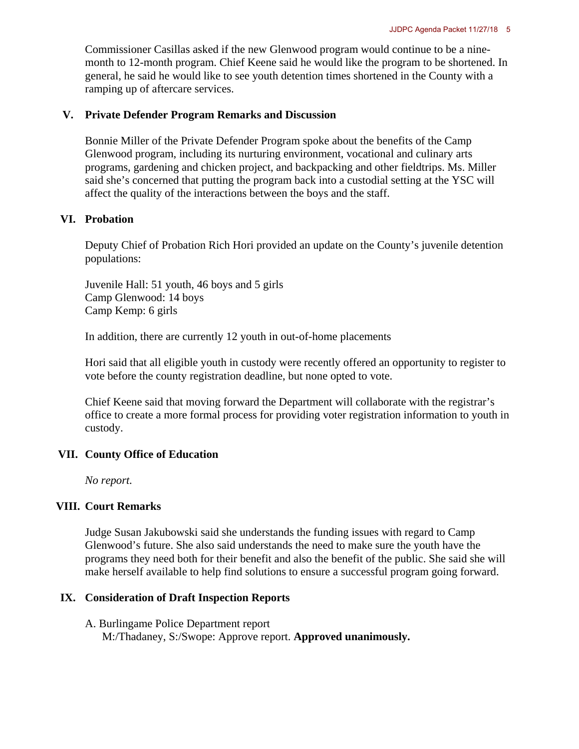Commissioner Casillas asked if the new Glenwood program would continue to be a ninemonth to 12-month program. Chief Keene said he would like the program to be shortened. In general, he said he would like to see youth detention times shortened in the County with a ramping up of aftercare services.

#### **V. Private Defender Program Remarks and Discussion**

Bonnie Miller of the Private Defender Program spoke about the benefits of the Camp Glenwood program, including its nurturing environment, vocational and culinary arts programs, gardening and chicken project, and backpacking and other fieldtrips. Ms. Miller said she's concerned that putting the program back into a custodial setting at the YSC will affect the quality of the interactions between the boys and the staff.

#### **VI. Probation**

Deputy Chief of Probation Rich Hori provided an update on the County's juvenile detention populations:

Juvenile Hall: 51 youth, 46 boys and 5 girls Camp Glenwood: 14 boys Camp Kemp: 6 girls

In addition, there are currently 12 youth in out-of-home placements

Hori said that all eligible youth in custody were recently offered an opportunity to register to vote before the county registration deadline, but none opted to vote.

Chief Keene said that moving forward the Department will collaborate with the registrar's office to create a more formal process for providing voter registration information to youth in custody.

#### **VII. County Office of Education**

*No report.* 

#### **VIII. Court Remarks**

Judge Susan Jakubowski said she understands the funding issues with regard to Camp Glenwood's future. She also said understands the need to make sure the youth have the programs they need both for their benefit and also the benefit of the public. She said she will make herself available to help find solutions to ensure a successful program going forward.

#### **IX. Consideration of Draft Inspection Reports**

A. Burlingame Police Department report M:/Thadaney, S:/Swope: Approve report. **Approved unanimously.**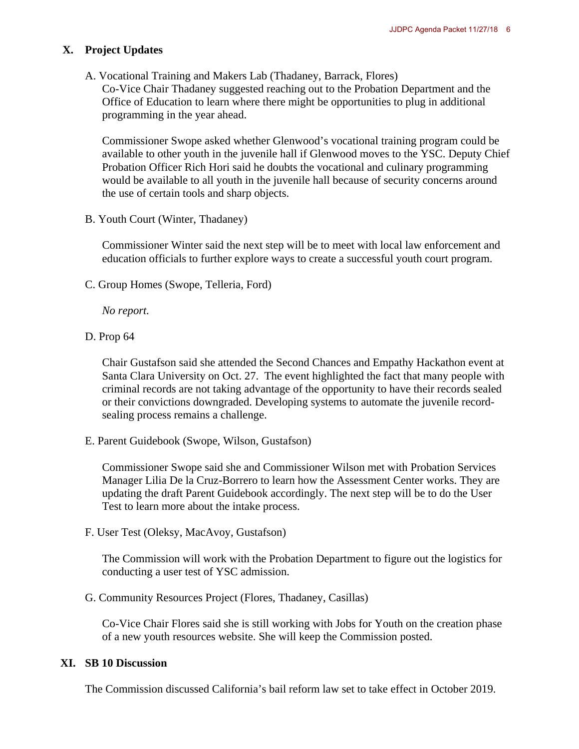#### **X. Project Updates**

A. Vocational Training and Makers Lab (Thadaney, Barrack, Flores)

Co-Vice Chair Thadaney suggested reaching out to the Probation Department and the Office of Education to learn where there might be opportunities to plug in additional programming in the year ahead.

Commissioner Swope asked whether Glenwood's vocational training program could be available to other youth in the juvenile hall if Glenwood moves to the YSC. Deputy Chief Probation Officer Rich Hori said he doubts the vocational and culinary programming would be available to all youth in the juvenile hall because of security concerns around the use of certain tools and sharp objects.

B. Youth Court (Winter, Thadaney)

Commissioner Winter said the next step will be to meet with local law enforcement and education officials to further explore ways to create a successful youth court program.

C. Group Homes (Swope, Telleria, Ford)

*No report.* 

D. Prop 64

Chair Gustafson said she attended the Second Chances and Empathy Hackathon event at Santa Clara University on Oct. 27. The event highlighted the fact that many people with criminal records are not taking advantage of the opportunity to have their records sealed or their convictions downgraded. Developing systems to automate the juvenile recordsealing process remains a challenge.

E. Parent Guidebook (Swope, Wilson, Gustafson)

Commissioner Swope said she and Commissioner Wilson met with Probation Services Manager Lilia De la Cruz-Borrero to learn how the Assessment Center works. They are updating the draft Parent Guidebook accordingly. The next step will be to do the User Test to learn more about the intake process.

F. User Test (Oleksy, MacAvoy, Gustafson)

The Commission will work with the Probation Department to figure out the logistics for conducting a user test of YSC admission.

G. Community Resources Project (Flores, Thadaney, Casillas)

Co-Vice Chair Flores said she is still working with Jobs for Youth on the creation phase of a new youth resources website. She will keep the Commission posted.

#### **XI. SB 10 Discussion**

The Commission discussed California's bail reform law set to take effect in October 2019.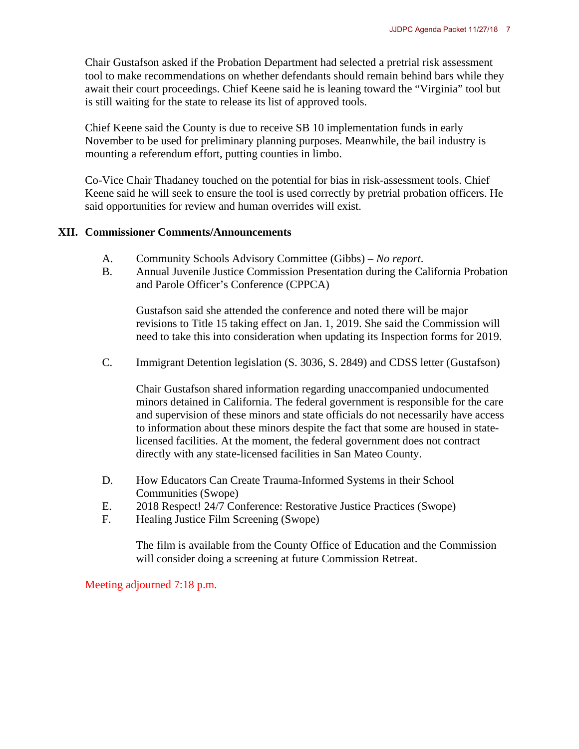Chair Gustafson asked if the Probation Department had selected a pretrial risk assessment tool to make recommendations on whether defendants should remain behind bars while they await their court proceedings. Chief Keene said he is leaning toward the "Virginia" tool but is still waiting for the state to release its list of approved tools.

Chief Keene said the County is due to receive SB 10 implementation funds in early November to be used for preliminary planning purposes. Meanwhile, the bail industry is mounting a referendum effort, putting counties in limbo.

Co-Vice Chair Thadaney touched on the potential for bias in risk-assessment tools. Chief Keene said he will seek to ensure the tool is used correctly by pretrial probation officers. He said opportunities for review and human overrides will exist.

#### **XII. Commissioner Comments/Announcements**

- A. Community Schools Advisory Committee (Gibbs) *No report*.
- B. Annual Juvenile Justice Commission Presentation during the California Probation and Parole Officer's Conference (CPPCA)

Gustafson said she attended the conference and noted there will be major revisions to Title 15 taking effect on Jan. 1, 2019. She said the Commission will need to take this into consideration when updating its Inspection forms for 2019.

C. Immigrant Detention legislation (S. 3036, S. 2849) and CDSS letter (Gustafson)

 Chair Gustafson shared information regarding unaccompanied undocumented minors detained in California. The federal government is responsible for the care and supervision of these minors and state officials do not necessarily have access to information about these minors despite the fact that some are housed in statelicensed facilities. At the moment, the federal government does not contract directly with any state-licensed facilities in San Mateo County.

- D. How Educators Can Create Trauma-Informed Systems in their School Communities (Swope)
- E. 2018 Respect! 24/7 Conference: Restorative Justice Practices (Swope)
- F. Healing Justice Film Screening (Swope)

 The film is available from the County Office of Education and the Commission will consider doing a screening at future Commission Retreat.

Meeting adjourned 7:18 p.m.